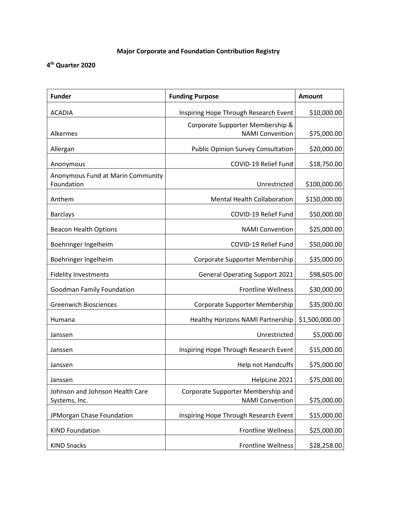## **Major Corporate and Foundation Contribution Registry**

## **4th Quarter 2020**

| <b>Funder</b>                                    | <b>Funding Purpose</b>                                       | Amount         |
|--------------------------------------------------|--------------------------------------------------------------|----------------|
| <b>ACADIA</b>                                    | Inspiring Hope Through Research Event                        | \$10,000.00    |
| Alkermes                                         | Corporate Supporter Membership &<br><b>NAMI Convention</b>   | \$75,000.00    |
| Allergan                                         | <b>Public Opinion Survey Consultation</b>                    | \$20,000.00    |
| Anonymous                                        | COVID-19 Relief Fund                                         | \$18,750.00    |
| Anonymous Fund at Marin Community<br>Foundation  | Unrestricted                                                 | \$100,000.00   |
| Anthem                                           | <b>Mental Health Collaboration</b>                           | \$150,000.00   |
| <b>Barclays</b>                                  | COVID-19 Relief Fund                                         | \$50,000.00    |
| <b>Beacon Health Options</b>                     | <b>NAMI Convention</b>                                       | \$25,000.00    |
| Boehringer Ingelheim                             | COVID-19 Relief Fund                                         | \$50,000.00    |
| Boehringer Ingelheim                             | Corporate Supporter Membership                               | \$35,000.00    |
| <b>Fidelity Investments</b>                      | <b>General Operating Support 2021</b>                        | \$98,605.00    |
| <b>Goodman Family Foundation</b>                 | <b>Frontline Wellness</b>                                    | \$30,000.00    |
| <b>Greenwich Biosciences</b>                     | Corporate Supporter Membership                               | \$35,000.00    |
| Humana                                           | Healthy Horizons NAMI Partnership                            | \$1,500,000.00 |
| Janssen                                          | Unrestricted                                                 | \$5,000.00     |
| Janssen                                          | Inspiring Hope Through Research Event                        | \$15,000.00    |
| Janssen                                          | Help not Handcuffs                                           | \$75,000.00    |
| Janssen                                          | HelpLine 2021                                                | \$75,000.00    |
| Johnson and Johnson Health Care<br>Systems, Inc. | Corporate Supporter Membership and<br><b>NAMI Convention</b> | \$75,000.00    |
| JPMorgan Chase Foundation                        | Inspiring Hope Through Research Event                        | \$15,000.00    |
| <b>KIND Foundation</b>                           | <b>Frontline Wellness</b>                                    | \$25,000.00    |
| <b>KIND Snacks</b>                               | Frontline Wellness                                           | \$28,258.00    |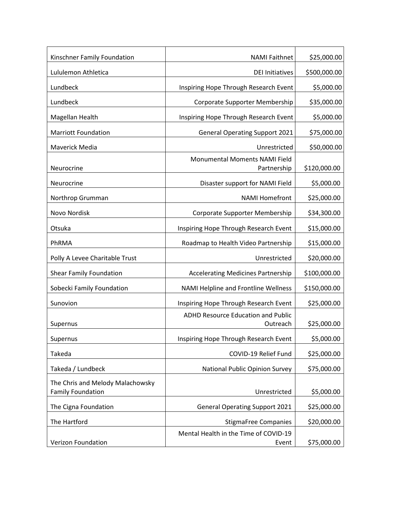| Kinschner Family Foundation                                  | <b>NAMI Faithnet</b>                                  | \$25,000.00  |
|--------------------------------------------------------------|-------------------------------------------------------|--------------|
| Lululemon Athletica                                          | <b>DEI Initiatives</b>                                | \$500,000.00 |
| Lundbeck                                                     | Inspiring Hope Through Research Event                 | \$5,000.00   |
| Lundbeck                                                     | Corporate Supporter Membership                        | \$35,000.00  |
| Magellan Health                                              | Inspiring Hope Through Research Event                 | \$5,000.00   |
| <b>Marriott Foundation</b>                                   | <b>General Operating Support 2021</b>                 | \$75,000.00  |
| Maverick Media                                               | Unrestricted                                          | \$50,000.00  |
| Neurocrine                                                   | Monumental Moments NAMI Field<br>Partnership          | \$120,000.00 |
| Neurocrine                                                   | Disaster support for NAMI Field                       | \$5,000.00   |
| Northrop Grumman                                             | <b>NAMI Homefront</b>                                 | \$25,000.00  |
| Novo Nordisk                                                 | Corporate Supporter Membership                        | \$34,300.00  |
| Otsuka                                                       | Inspiring Hope Through Research Event                 | \$15,000.00  |
| PhRMA                                                        | Roadmap to Health Video Partnership                   | \$15,000.00  |
| Polly A Levee Charitable Trust                               | Unrestricted                                          | \$20,000.00  |
| <b>Shear Family Foundation</b>                               | <b>Accelerating Medicines Partnership</b>             | \$100,000.00 |
| Sobecki Family Foundation                                    | NAMI Helpline and Frontline Wellness                  | \$150,000.00 |
| Sunovion                                                     | Inspiring Hope Through Research Event                 | \$25,000.00  |
| Supernus                                                     | <b>ADHD Resource Education and Public</b><br>Outreach | \$25,000.00  |
| Supernus                                                     | Inspiring Hope Through Research Event                 | \$5,000.00   |
| Takeda                                                       | COVID-19 Relief Fund                                  | \$25,000.00  |
| Takeda / Lundbeck                                            | National Public Opinion Survey                        | \$75,000.00  |
| The Chris and Melody Malachowsky<br><b>Family Foundation</b> | Unrestricted                                          | \$5,000.00   |
| The Cigna Foundation                                         | <b>General Operating Support 2021</b>                 | \$25,000.00  |
| The Hartford                                                 | <b>StigmaFree Companies</b>                           | \$20,000.00  |
| Verizon Foundation                                           | Mental Health in the Time of COVID-19<br>Event        | \$75,000.00  |